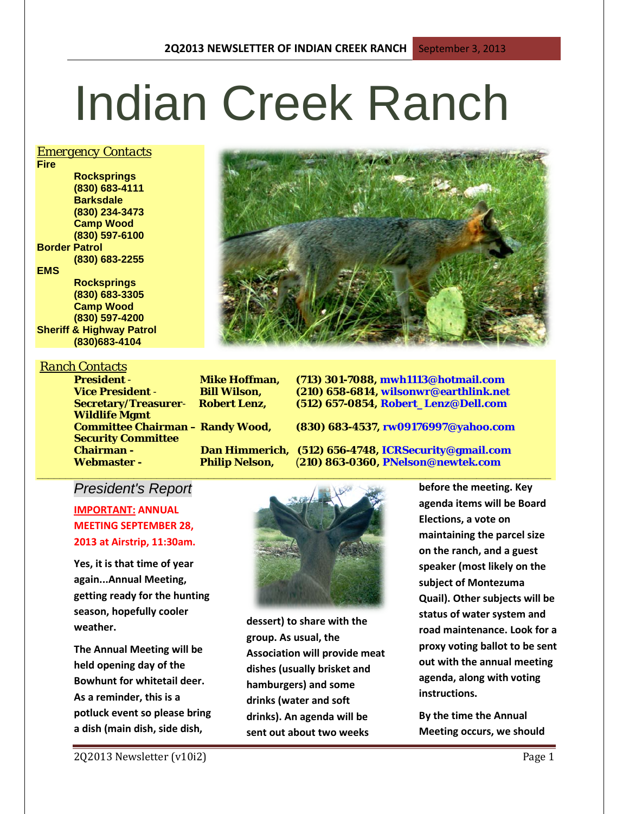# Indian Creek Ranch

#### *Emergency Contacts*

**Fire Rocksprings (830) 683-4111 Barksdale (830) 234-3473 Camp Wood (830) 597-6100 Border Patrol (830) 683-2255 EMS Rocksprings (830) 683-3305 Camp Wood**

**(830) 597-4200 Sheriff & Highway Patrol (830)683-4104**

#### *Ranch Contacts*

**Wildlife Mgmt Security Committee** 

**President** - **Mike Hoffman, (713) 301-7088, mwh1113@hotmail.com Vice President** - **Bill Wilson, (210) 658-6814, wilsonwr@earthlink.net Secretary/Treasurer**- **Robert Lenz, (512) 657-0854, Robert\_Lenz@Dell.com**

**Committee Chairman – Randy Wood, (830) 683-4537, rw09176997@yahoo.com**

**Chairman - Dan Himmerich, (512) 656-4748, ICRSecurity@gmail.com Webmaster - Philip Nelson,** (**210) 863-0360, PNelson@newtek.com**

#### *President's Report*

**IMPORTANT: ANNUAL MEETING SEPTEMBER 28, 2013 at Airstrip, 11:30am.**

**Yes, it is that time of year again...Annual Meeting, getting ready for the hunting season, hopefully cooler weather.**

**The Annual Meeting will be held opening day of the Bowhunt for whitetail deer. As a reminder, this is a potluck event so please bring a dish (main dish, side dish,** 



**dessert) to share with the group. As usual, the Association will provide meat dishes (usually brisket and hamburgers) and some drinks (water and soft drinks). An agenda will be sent out about two weeks** 

**before the meeting. Key agenda items will be Board Elections, a vote on maintaining the parcel size on the ranch, and a guest speaker (most likely on the subject of Montezuma Quail). Other subjects will be status of water system and road maintenance. Look for a proxy voting ballot to be sent out with the annual meeting agenda, along with voting instructions.**

**By the time the Annual Meeting occurs, we should**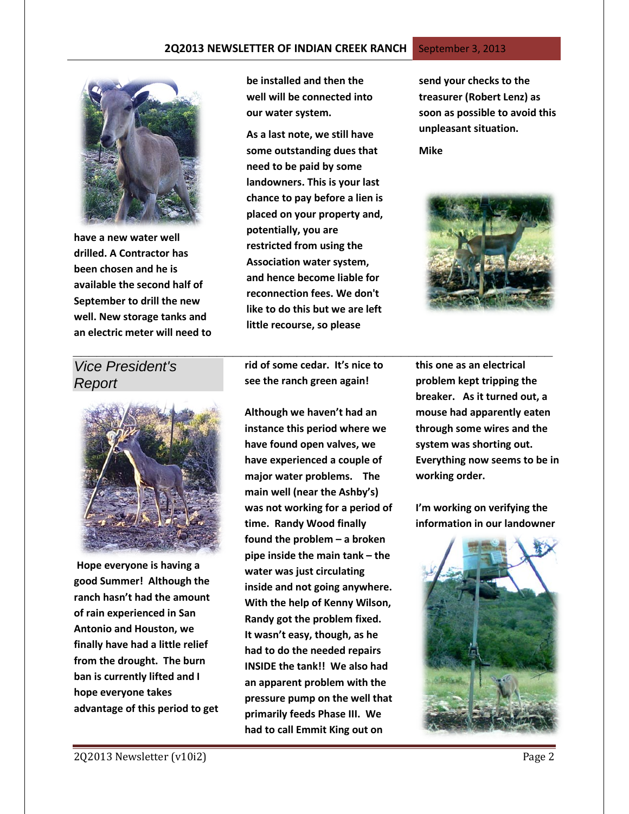

**have a new water well drilled. A Contractor has been chosen and he is available the second half of September to drill the new well. New storage tanks and an electric meter will need to**  **be installed and then the well will be connected into our water system.**

**As a last note, we still have some outstanding dues that need to be paid by some landowners. This is your last chance to pay before a lien is placed on your property and, potentially, you are restricted from using the Association water system, and hence become liable for reconnection fees. We don't like to do this but we are left little recourse, so please** 

**send your checks to the treasurer (Robert Lenz) as soon as possible to avoid this unpleasant situation.**

**Mike**



### *Vice President's Report*



**Hope everyone is having a good Summer! Although the ranch hasn't had the amount of rain experienced in San Antonio and Houston, we finally have had a little relief from the drought. The burn ban is currently lifted and I hope everyone takes advantage of this period to get**  **rid of some cedar. It's nice to see the ranch green again!**

*\_\_\_\_\_\_\_\_\_\_\_\_\_\_\_\_\_\_\_\_\_\_\_\_\_\_\_\_\_\_\_\_\_\_\_\_\_\_\_\_\_\_\_\_\_\_\_\_\_\_\_\_\_\_\_\_\_\_\_\_*

**Although we haven't had an instance this period where we have found open valves, we have experienced a couple of major water problems. The main well (near the Ashby's) was not working for a period of time. Randy Wood finally found the problem – a broken pipe inside the main tank – the water was just circulating inside and not going anywhere. With the help of Kenny Wilson, Randy got the problem fixed. It wasn't easy, though, as he had to do the needed repairs INSIDE the tank!! We also had an apparent problem with the pressure pump on the well that primarily feeds Phase III. We had to call Emmit King out on** 

**this one as an electrical problem kept tripping the breaker. As it turned out, a mouse had apparently eaten through some wires and the system was shorting out. Everything now seems to be in working order.**

**I'm working on verifying the information in our landowner** 

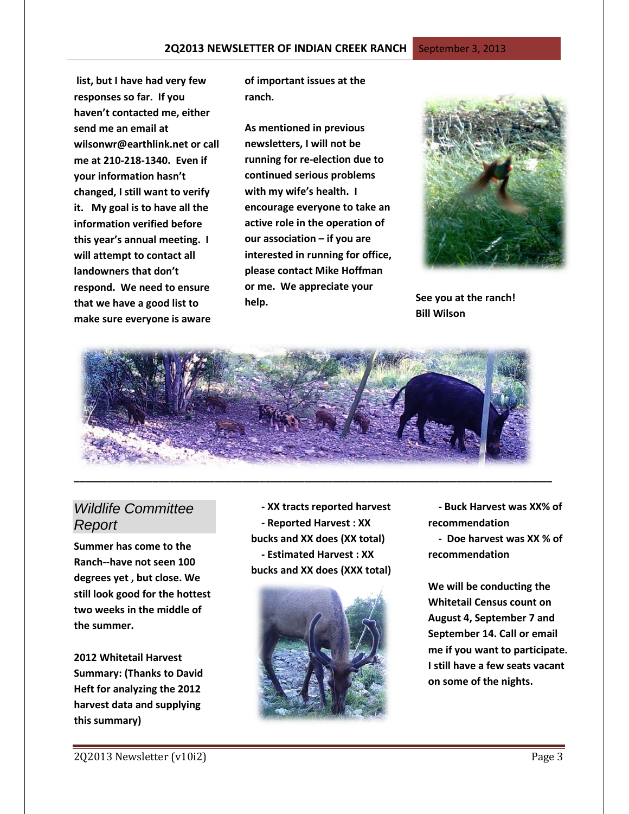**list, but I have had very few responses so far. If you haven't contacted me, either send me an email at [wilsonwr@earthlink.net](mailto:wilsonwr@earthlink.net) or call me at 210-218-1340. Even if your information hasn't changed, I still want to verify it. My goal is to have all the information verified before this year's annual meeting. I will attempt to contact all landowners that don't respond. We need to ensure that we have a good list to make sure everyone is aware** 

**of important issues at the ranch.**

**As mentioned in previous newsletters, I will not be running for re-election due to continued serious problems with my wife's health. I encourage everyone to take an active role in the operation of our association – if you are interested in running for office, please contact Mike Hoffman or me. We appreciate your help. See you at the ranch!**



**Bill Wilson**



## *Wildlife Committee Report*

**Summer has come to the Ranch--have not seen 100 degrees yet , but close. We still look good for the hottest two weeks in the middle of the summer.** 

**2012 Whitetail Harvest Summary: (Thanks to David Heft for analyzing the 2012 harvest data and supplying this summary)**

 **- XX tracts reported harvest - Reported Harvest : XX bucks and XX does (XX total) - Estimated Harvest : XX bucks and XX does (XXX total)**



 **- Buck Harvest was XX% of recommendation**

 **- Doe harvest was XX % of recommendation**

**We will be conducting the Whitetail Census count on August 4, September 7 and September 14. Call or email me if you want to participate. I still have a few seats vacant on some of the nights.**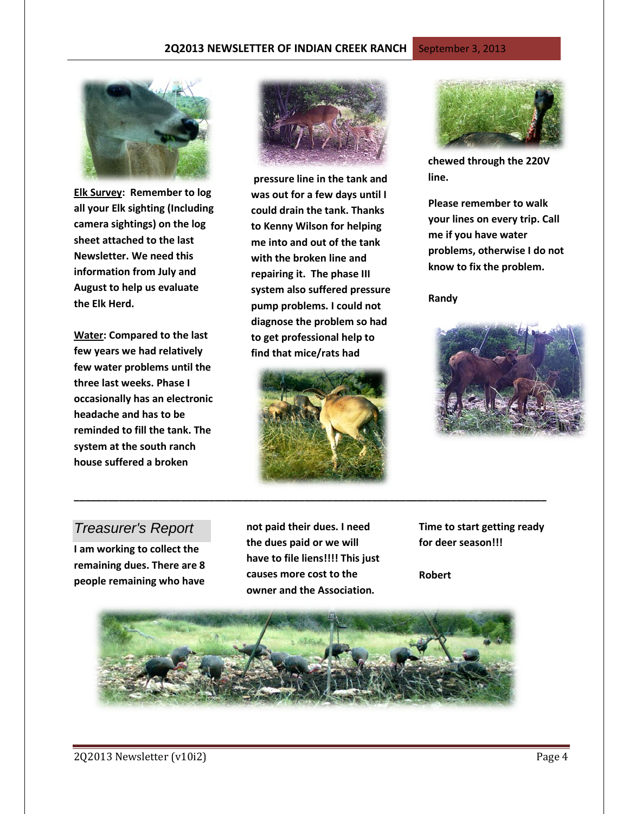

**Elk Survey: Remember to log all your Elk sighting (Including camera sightings) on the log sheet attached to the last Newsletter. We need this information from July and August to help us evaluate the Elk Herd.**

**Water: Compared to the last few years we had relatively few water problems until the three last weeks. Phase I occasionally has an electronic headache and has to be reminded to fill the tank. The system at the south ranch house suffered a broken** 



**pressure line in the tank and was out for a few days until I could drain the tank. Thanks to Kenny Wilson for helping me into and out of the tank with the broken line and repairing it. The phase III system also suffered pressure pump problems. I could not diagnose the problem so had to get professional help to find that mice/rats had**





**chewed through the 220V line.** 

**Please remember to walk your lines on every trip. Call me if you have water problems, otherwise I do not know to fix the problem.** 

**Randy**



#### *Treasurer's Report*

**I am working to collect the remaining dues. There are 8 people remaining who have** 

**not paid their dues. I need the dues paid or we will have to file liens!!!! This just causes more cost to the owner and the Association.**

**\_\_\_\_\_\_\_\_\_\_\_\_\_\_\_\_\_\_\_\_\_\_\_\_\_\_\_\_\_\_\_\_\_\_\_\_\_\_\_\_\_\_\_\_\_\_\_\_\_\_\_\_\_\_\_\_\_\_\_\_\_\_\_\_\_\_\_\_\_\_\_\_\_\_\_\_\_\_\_\_\_\_\_\_**

**Time to start getting ready for deer season!!!** 

**Robert** 

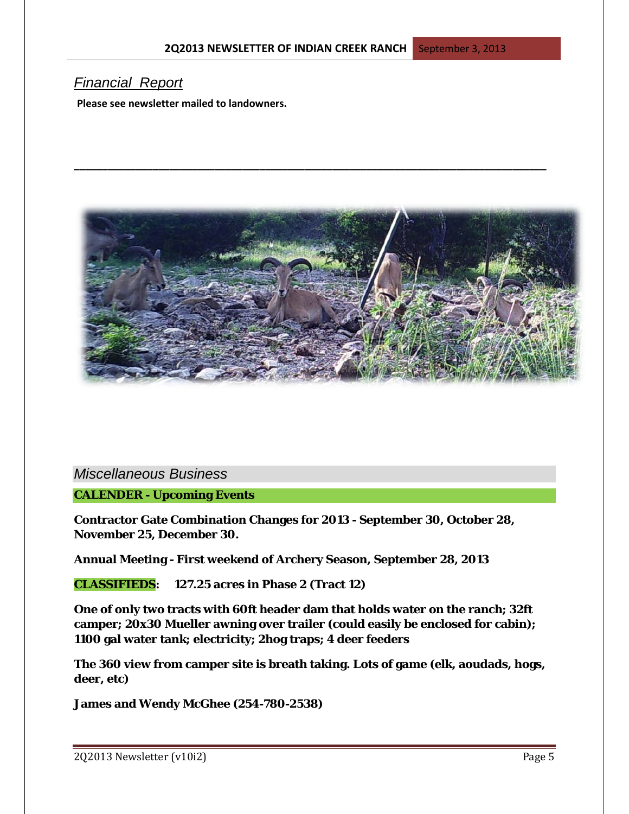**\_\_\_\_\_\_\_\_\_\_\_\_\_\_\_\_\_\_\_\_\_\_\_\_\_\_\_\_\_\_\_\_\_\_\_\_\_\_\_\_\_\_\_\_\_\_\_\_\_\_\_\_\_\_\_\_\_\_\_\_\_\_\_\_\_\_\_\_\_\_\_\_\_\_\_\_\_\_\_\_\_\_\_\_**

#### *Financial Report*

**Please see newsletter mailed to landowners.**



*Miscellaneous Business*

**CALENDER - Upcoming Events**

**Contractor Gate Combination Changes for 2013 - September 30, October 28, November 25, December 30.**

**Annual Meeting - First weekend of Archery Season, September 28, 2013**

**CLASSIFIEDS: 127.25 acres in Phase 2 (Tract 12)**

**One of only two tracts with 60ft header dam that holds water on the ranch; 32ft camper; 20x30 Mueller awning over trailer (could easily be enclosed for cabin); 1100 gal water tank; electricity; 2hog traps; 4 deer feeders**

**The 360 view from camper site is breath taking. Lots of game (elk, aoudads, hogs, deer, etc)**

**James and Wendy McGhee (254-780-2538)**

2Q2013 Newsletter (v10i2) Page 5